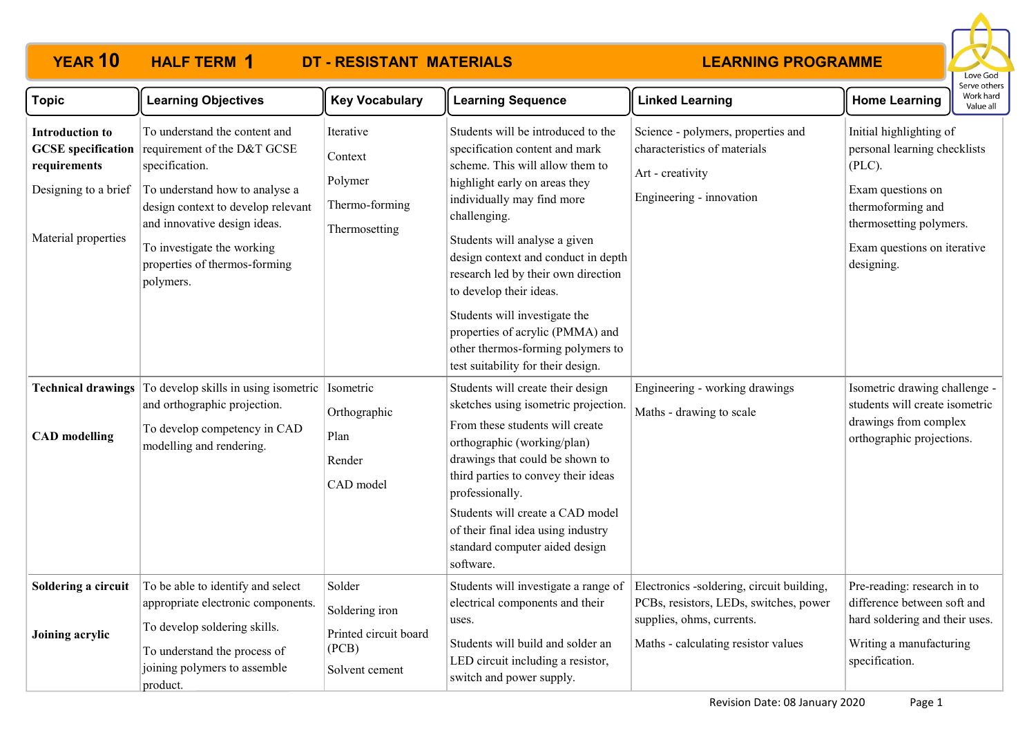#### **YEAR 10 HALF TERM DT - RESISTANT MATERIALS HALF TERM 1**

### **LEARNING PROGRAMME**



| <b>Topic</b>                                                                          | <b>Learning Objectives</b>                                                                                                                                                                                                                                                                   | <b>Key Vocabulary</b>                                                        | <b>Learning Sequence</b>                                                                                                                                                                                                                                                                                                                                                                                                                                                         | <b>Linked Learning</b>                                                                                                                                  | serve otrier<br>Work hard<br><b>Home Learning</b><br>Value all                                                                                                                         |
|---------------------------------------------------------------------------------------|----------------------------------------------------------------------------------------------------------------------------------------------------------------------------------------------------------------------------------------------------------------------------------------------|------------------------------------------------------------------------------|----------------------------------------------------------------------------------------------------------------------------------------------------------------------------------------------------------------------------------------------------------------------------------------------------------------------------------------------------------------------------------------------------------------------------------------------------------------------------------|---------------------------------------------------------------------------------------------------------------------------------------------------------|----------------------------------------------------------------------------------------------------------------------------------------------------------------------------------------|
| <b>Introduction to</b><br>requirements<br>Designing to a brief<br>Material properties | To understand the content and<br><b>GCSE</b> specification requirement of the D&T GCSE<br>specification.<br>To understand how to analyse a<br>design context to develop relevant<br>and innovative design ideas.<br>To investigate the working<br>properties of thermos-forming<br>polymers. | Iterative<br>Context<br>Polymer<br>Thermo-forming<br>Thermosetting           | Students will be introduced to the<br>specification content and mark<br>scheme. This will allow them to<br>highlight early on areas they<br>individually may find more<br>challenging.<br>Students will analyse a given<br>design context and conduct in depth<br>research led by their own direction<br>to develop their ideas.<br>Students will investigate the<br>properties of acrylic (PMMA) and<br>other thermos-forming polymers to<br>test suitability for their design. | Science - polymers, properties and<br>characteristics of materials<br>Art - creativity<br>Engineering - innovation                                      | Initial highlighting of<br>personal learning checklists<br>$(PLC)$ .<br>Exam questions on<br>thermoforming and<br>thermosetting polymers.<br>Exam questions on iterative<br>designing. |
| <b>Technical drawings</b><br><b>CAD</b> modelling                                     | To develop skills in using isometric<br>and orthographic projection.<br>To develop competency in CAD<br>modelling and rendering.                                                                                                                                                             | Isometric<br>Orthographic<br>Plan<br>Render<br>CAD model                     | Students will create their design<br>sketches using isometric projection.<br>From these students will create<br>orthographic (working/plan)<br>drawings that could be shown to<br>third parties to convey their ideas<br>professionally.<br>Students will create a CAD model<br>of their final idea using industry<br>standard computer aided design<br>software.                                                                                                                | Engineering - working drawings<br>Maths - drawing to scale                                                                                              | Isometric drawing challenge -<br>students will create isometric<br>drawings from complex<br>orthographic projections.                                                                  |
| Soldering a circuit<br>Joining acrylic                                                | To be able to identify and select<br>appropriate electronic components.<br>To develop soldering skills.<br>To understand the process of<br>joining polymers to assemble<br>product.                                                                                                          | Solder<br>Soldering iron<br>Printed circuit board<br>(PCB)<br>Solvent cement | Students will investigate a range of<br>electrical components and their<br>uses.<br>Students will build and solder an<br>LED circuit including a resistor,<br>switch and power supply.                                                                                                                                                                                                                                                                                           | Electronics -soldering, circuit building,<br>PCBs, resistors, LEDs, switches, power<br>supplies, ohms, currents.<br>Maths - calculating resistor values | Pre-reading: research in to<br>difference between soft and<br>hard soldering and their uses.<br>Writing a manufacturing<br>specification.                                              |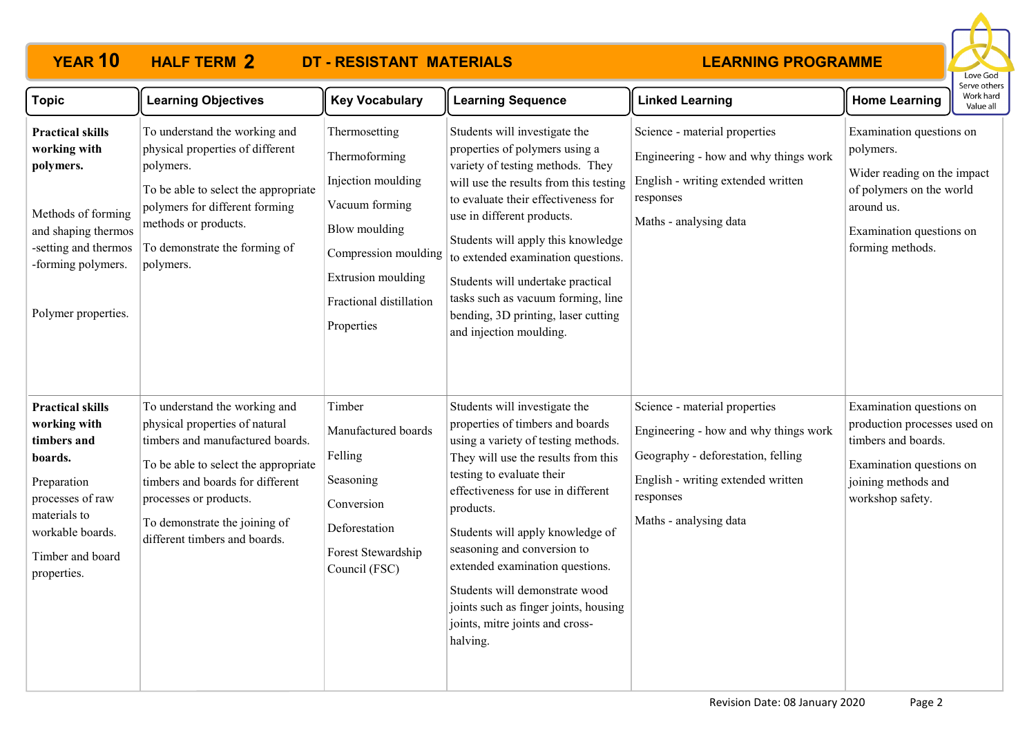# **YEAR 10 HALF TERM 2 DT - RESISTANT MATERIALS**

### **LEARNING PROGRAMME**



| <b>Topic</b>                                                                                                                                                                | <b>Learning Objectives</b>                                                                                                                                                                                                                                                  | <b>Key Vocabulary</b>                                                                                                                                                          | <b>Learning Sequence</b>                                                                                                                                                                                                                                                                                                                                                                                                                                        | <b>Linked Learning</b>                                                                                                                                                                    | <b>Home Learning</b>                                                                                                                                           | יכו יכ טנווכו.<br>Work hard<br>Value all |
|-----------------------------------------------------------------------------------------------------------------------------------------------------------------------------|-----------------------------------------------------------------------------------------------------------------------------------------------------------------------------------------------------------------------------------------------------------------------------|--------------------------------------------------------------------------------------------------------------------------------------------------------------------------------|-----------------------------------------------------------------------------------------------------------------------------------------------------------------------------------------------------------------------------------------------------------------------------------------------------------------------------------------------------------------------------------------------------------------------------------------------------------------|-------------------------------------------------------------------------------------------------------------------------------------------------------------------------------------------|----------------------------------------------------------------------------------------------------------------------------------------------------------------|------------------------------------------|
| <b>Practical skills</b><br>working with<br>polymers.<br>Methods of forming<br>and shaping thermos<br>-setting and thermos<br>-forming polymers.<br>Polymer properties.      | To understand the working and<br>physical properties of different<br>polymers.<br>To be able to select the appropriate<br>polymers for different forming<br>methods or products.<br>To demonstrate the forming of<br>polymers.                                              | Thermosetting<br>Thermoforming<br>Injection moulding<br>Vacuum forming<br>Blow moulding<br>Compression moulding<br>Extrusion moulding<br>Fractional distillation<br>Properties | Students will investigate the<br>properties of polymers using a<br>variety of testing methods. They<br>will use the results from this testing<br>to evaluate their effectiveness for<br>use in different products.<br>Students will apply this knowledge<br>to extended examination questions.<br>Students will undertake practical<br>tasks such as vacuum forming, line<br>bending, 3D printing, laser cutting<br>and injection moulding.                     | Science - material properties<br>Engineering - how and why things work<br>English - writing extended written<br>responses<br>Maths - analysing data                                       | Examination questions on<br>polymers.<br>Wider reading on the impact<br>of polymers on the world<br>around us.<br>Examination questions on<br>forming methods. |                                          |
| <b>Practical skills</b><br>working with<br>timbers and<br>boards.<br>Preparation<br>processes of raw<br>materials to<br>workable boards.<br>Timber and board<br>properties. | To understand the working and<br>physical properties of natural<br>timbers and manufactured boards.<br>To be able to select the appropriate<br>timbers and boards for different<br>processes or products.<br>To demonstrate the joining of<br>different timbers and boards. | Timber<br>Manufactured boards<br>Felling<br>Seasoning<br>Conversion<br>Deforestation<br>Forest Stewardship<br>Council (FSC)                                                    | Students will investigate the<br>properties of timbers and boards<br>using a variety of testing methods.<br>They will use the results from this<br>testing to evaluate their<br>effectiveness for use in different<br>products.<br>Students will apply knowledge of<br>seasoning and conversion to<br>extended examination questions.<br>Students will demonstrate wood<br>joints such as finger joints, housing<br>joints, mitre joints and cross-<br>halving. | Science - material properties<br>Engineering - how and why things work<br>Geography - deforestation, felling<br>English - writing extended written<br>responses<br>Maths - analysing data | Examination questions on<br>production processes used on<br>timbers and boards.<br>Examination questions on<br>joining methods and<br>workshop safety.         |                                          |